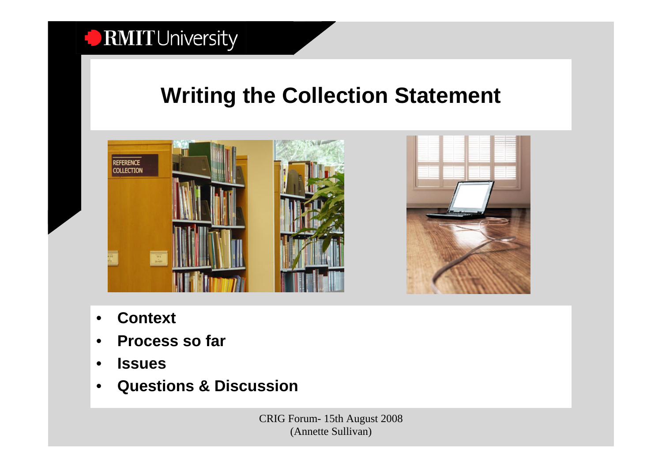## **Writing the Collection Statement**



- •**Context**
- •**Process so far**
- •**Issues**
- •**Questions & Discussion**

CRIG Forum- 15th August 2008 (Annette Sullivan)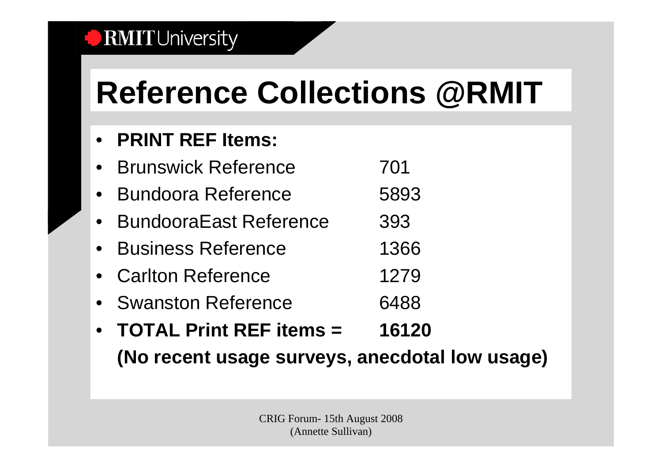# **Reference Collections @RMIT**

#### •**PRINT REF Items:**

- $\bullet$ Brunswick Reference **701**
- •Bundoora Reference **5893**
- •BundooraEast Reference 393
- •Business Reference **1366**
- •Carlton Reference 1279
- Swanston Reference 6488
- • **TOTAL Print REF items = 16120(No recent usage surveys, anecdotal low usage)**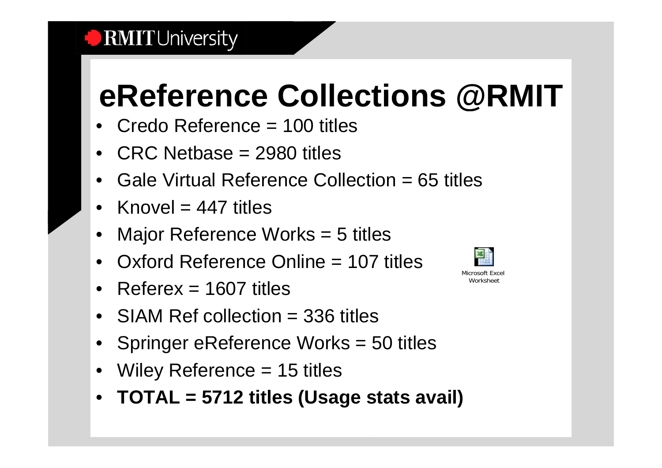## **eReference Collections @RMIT**

- Credo Reference = 100 titles
- CRC Netbase = 2980 titles
- •Gale Virtual Reference Collection = 65 titles
- •Knovel  $= 447$  titles
- •Major Reference Works = 5 titles
- •Oxford Reference Online = 107 titles
- Referex = 1607 titles
- SIAM Ref collection = 336 titles
- Springer eReference Works = 50 titles
- •Wiley Reference = 15 titles
- **TOTAL = 5712 titles (Usage stats avail)**



Microsoft Excel Worksheet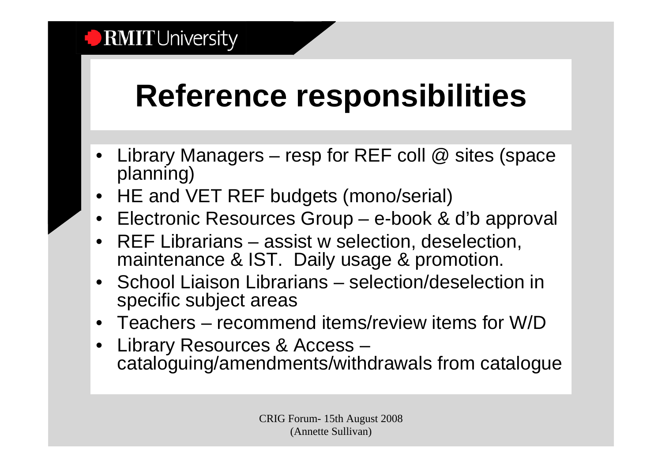## **Reference responsibilities**

- • Library Managers – resp for REF coll @ sites (space planning)
- •HE and VET REF budgets (mono/serial)
- Electronic Resources Group e-book & d'b approval
- • REF Librarians – assist w selection, deselection, maintenance & IST. Daily usage & promotion.
- • School Liaison Librarians – selection/deselection in specific subject areas
- Teachers recommend items/review items for W/D
- • Library Resources & Access – cataloguing/amendments/withdrawals from catalogue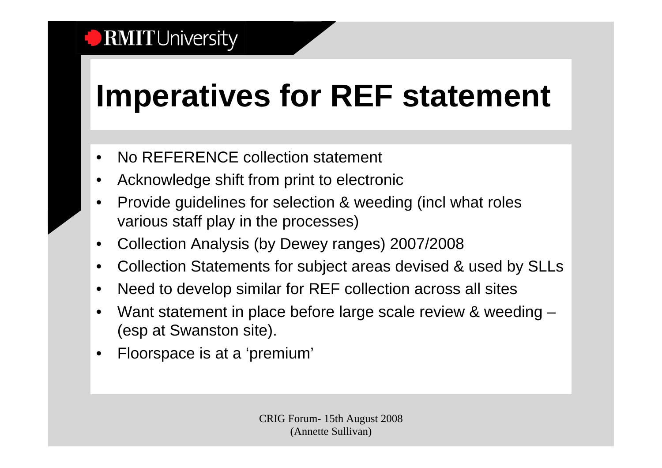# **Imperatives for REF statement**

- •No REFERENCE collection statement
- •Acknowledge shift from print to electronic
- • Provide guidelines for selection & weeding (incl what roles various staff play in the processes)
- •Collection Analysis (by Dewey ranges) 2007/2008
- •Collection Statements for subject areas devised & used by SLLs
- $\bullet$ Need to develop similar for REF collection across all sites
- • Want statement in place before large scale review & weeding – (esp at Swanston site).
- •Floorspace is at a 'premium'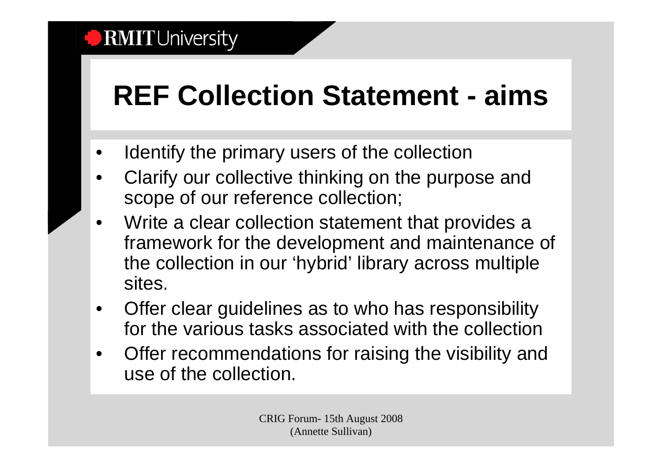## **REF Collection Statement - aims**

- •Identify the primary users of the collection
- • Clarify our collective thinking on the purpose and scope of our reference collection;
- • Write a clear collection statement that provides a framework for the development and maintenance of the collection in our 'hybrid' library across multiple sites.
- • Offer clear guidelines as to who has responsibility for the various tasks associated with the collection
- $\bullet$  Offer recommendations for raising the visibility and use of the collection.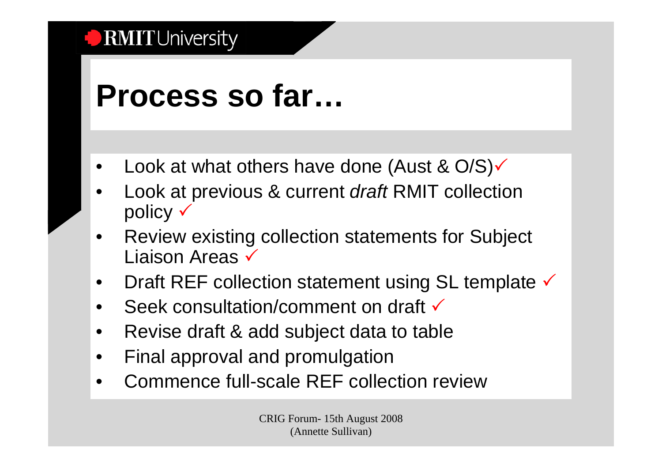## **Process so far…**

- •Look at what others have done (Aust &  $O/S$ )
- • Look at previous & current *draft* RMIT collection policy  $\checkmark$
- • Review existing collection statements for Subject Liaison Areas  $\checkmark$
- $\bullet$ Draft REF collection statement using SL template  $\checkmark$
- •Seek consultation/comment on draft  $\checkmark$
- $\bullet$ Revise draft & add subject data to table
- •Final approval and promulgation
- •Commence full-scale REF collection review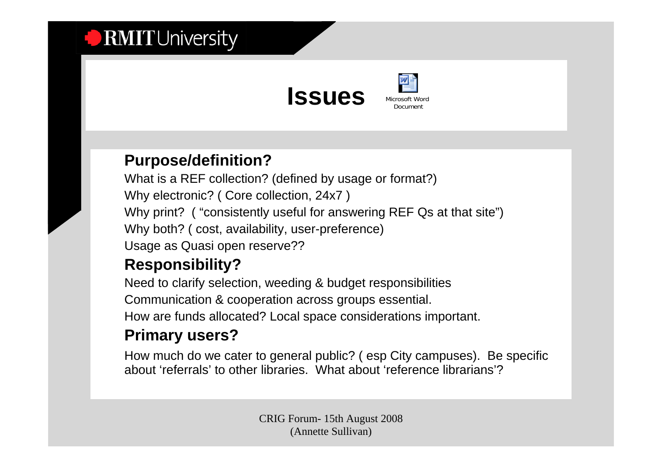

#### **Purpose/definition?**

What is a REF collection? (defined by usage or format?) Why electronic? ( Core collection, 24x7 ) Why print? ("consistently useful for answering REF Qs at that site") Why both? ( cost, availability, user-preference) Usage as Quasi open reserve??

#### **Responsibility?**

Need to clarify selection, weeding & budget responsibilities Communication & cooperation across groups essential. How are funds allocated? Local space considerations important.

### **Primary users?**

How much do we cater to general public? ( esp City campuses). Be specific about 'referrals' to other libraries. What about 'reference librarians'?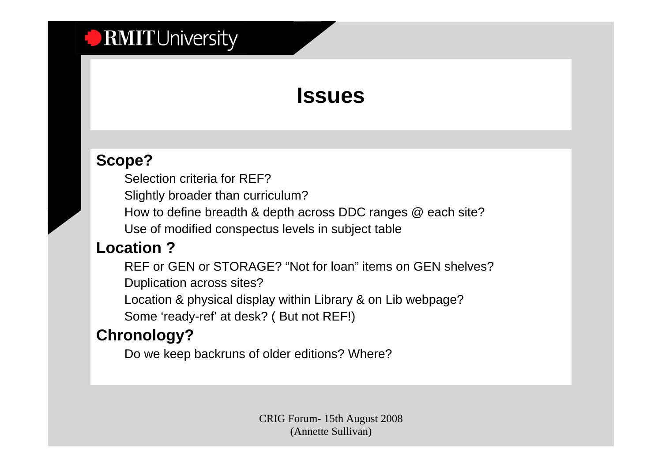## **Issues**

### **Scope?**

Selection criteria for REF?

Slightly broader than curriculum?

How to define breadth & depth across DDC ranges @ each site?

Use of modified conspectus levels in subject table

#### **Location ?**

REF or GEN or STORAGE? "Not for loan" items on GEN shelves?Duplication across sites?

Location & physical display within Library & on Lib webpage?

Some 'ready-ref' at desk? ( But not REF!)

### **Chronology?**

Do we keep backruns of older editions? Where?

CRIG Forum- 15th August 2008 (Annette Sullivan)